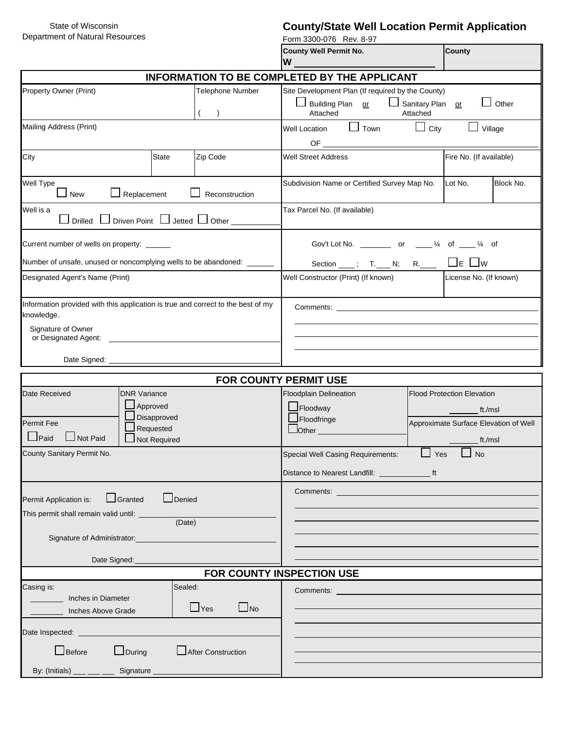State of Wisconsin Department of Natural Resources

# **County/State Well Location Permit Application**

| Department of Natural Resources                                                                                                              |                         | Form 3300-076 Rev. 8-97                                                                                                                                                                                          |                        |  |  |  |  |  |  |
|----------------------------------------------------------------------------------------------------------------------------------------------|-------------------------|------------------------------------------------------------------------------------------------------------------------------------------------------------------------------------------------------------------|------------------------|--|--|--|--|--|--|
|                                                                                                                                              |                         | <b>County Well Permit No.</b>                                                                                                                                                                                    | <b>County</b>          |  |  |  |  |  |  |
|                                                                                                                                              |                         | W                                                                                                                                                                                                                |                        |  |  |  |  |  |  |
| <b>INFORMATION TO BE COMPLETED BY THE APPLICANT</b>                                                                                          |                         |                                                                                                                                                                                                                  |                        |  |  |  |  |  |  |
| Telephone Number<br>Property Owner (Print)<br>$\lambda$                                                                                      |                         | Site Development Plan (If required by the County)<br>Sanitary Plan or<br>$\Box$ Building Plan or<br>$\Box$ Other<br>Attached<br>Attached                                                                         |                        |  |  |  |  |  |  |
| Mailing Address (Print)                                                                                                                      |                         | Well Location $\Box$ Town                                                                                                                                                                                        |                        |  |  |  |  |  |  |
|                                                                                                                                              |                         | $\Box$ City<br>$\Box$ Village                                                                                                                                                                                    |                        |  |  |  |  |  |  |
| <b>State</b><br>City                                                                                                                         | Zip Code                | Fire No. (If available)<br><b>Well Street Address</b>                                                                                                                                                            |                        |  |  |  |  |  |  |
| Well Type<br>$\Box$ New<br>$\Box$ Replacement                                                                                                | Reconstruction          | Subdivision Name or Certified Survey Map No.                                                                                                                                                                     | Lot No.<br>Block No.   |  |  |  |  |  |  |
| Well is a<br>$\Box$ Drilled $\Box$ Driven Point $\Box$ Jetted $\Box$ Other                                                                   |                         | Tax Parcel No. (If available)                                                                                                                                                                                    |                        |  |  |  |  |  |  |
| Current number of wells on property: ______                                                                                                  |                         | Gov't Lot No. _____________ or _____ 1/4 of _____ 1/4 of                                                                                                                                                         |                        |  |  |  |  |  |  |
| Number of unsafe, unused or noncomplying wells to be abandoned:                                                                              |                         | Section $\frac{\ }{}$ ; T. N; R. $\frac{\ }{}$ $\Box$ E $\Box$ W                                                                                                                                                 |                        |  |  |  |  |  |  |
| Designated Agent's Name (Print)                                                                                                              |                         | Well Constructor (Print) (If known)                                                                                                                                                                              | License No. (If known) |  |  |  |  |  |  |
| Information provided with this application is true and correct to the best of my<br>knowledge.                                               |                         | <b>Comments: Comments: Comments: Comments: Comments: Comments: Comments: Comments: Comments: Comments: Comments: Comments: Comments: Comments: Comments: Comments: Comments: Comments: Comme</b>                 |                        |  |  |  |  |  |  |
| Signature of Owner                                                                                                                           |                         |                                                                                                                                                                                                                  |                        |  |  |  |  |  |  |
|                                                                                                                                              |                         |                                                                                                                                                                                                                  |                        |  |  |  |  |  |  |
|                                                                                                                                              |                         |                                                                                                                                                                                                                  |                        |  |  |  |  |  |  |
|                                                                                                                                              |                         | <b>FOR COUNTY PERMIT USE</b>                                                                                                                                                                                     |                        |  |  |  |  |  |  |
| Date Received<br><b>DNR Variance</b><br>$\Box$ Approved<br>Disapproved<br>Permit Fee<br>Requested<br>$\Box$ Paid<br>Not Paid<br>Not Required |                         | <b>Floodplain Delineation</b><br><b>Flood Protection Elevation</b><br>$\blacksquare$ Floodway<br>ft./msl<br>Floodfringe<br>Approximate Surface Elevation of Well<br>$Other$ <sub><math>-</math></sub><br>ft./msl |                        |  |  |  |  |  |  |
| County Sanitary Permit No.                                                                                                                   |                         | $\Box$ No<br>Special Well Casing Requirements:<br>Yes                                                                                                                                                            |                        |  |  |  |  |  |  |
|                                                                                                                                              |                         |                                                                                                                                                                                                                  |                        |  |  |  |  |  |  |
|                                                                                                                                              |                         | <b>Comments: Comments: Comments: Comments: Comments:</b>                                                                                                                                                         |                        |  |  |  |  |  |  |
| Denied<br>Granted<br>Permit Application is:                                                                                                  |                         |                                                                                                                                                                                                                  |                        |  |  |  |  |  |  |
| This permit shall remain valid until: ____<br>(Date)                                                                                         |                         |                                                                                                                                                                                                                  |                        |  |  |  |  |  |  |
|                                                                                                                                              |                         |                                                                                                                                                                                                                  |                        |  |  |  |  |  |  |
| Signature of Administrator:                                                                                                                  |                         |                                                                                                                                                                                                                  |                        |  |  |  |  |  |  |
| Date Signed:                                                                                                                                 |                         |                                                                                                                                                                                                                  |                        |  |  |  |  |  |  |
|                                                                                                                                              |                         | FOR COUNTY INSPECTION USE                                                                                                                                                                                        |                        |  |  |  |  |  |  |
| Sealed:<br>Casing is:                                                                                                                        |                         |                                                                                                                                                                                                                  |                        |  |  |  |  |  |  |
| Inches in Diameter                                                                                                                           |                         |                                                                                                                                                                                                                  |                        |  |  |  |  |  |  |
| Inches Above Grade                                                                                                                           | $\Box$ Yes<br>$\Box$ No |                                                                                                                                                                                                                  |                        |  |  |  |  |  |  |
| Date Inspected: _____________                                                                                                                |                         |                                                                                                                                                                                                                  |                        |  |  |  |  |  |  |
| $\Box$ During<br>$\Box$ Before                                                                                                               | After Construction      |                                                                                                                                                                                                                  |                        |  |  |  |  |  |  |
|                                                                                                                                              |                         |                                                                                                                                                                                                                  |                        |  |  |  |  |  |  |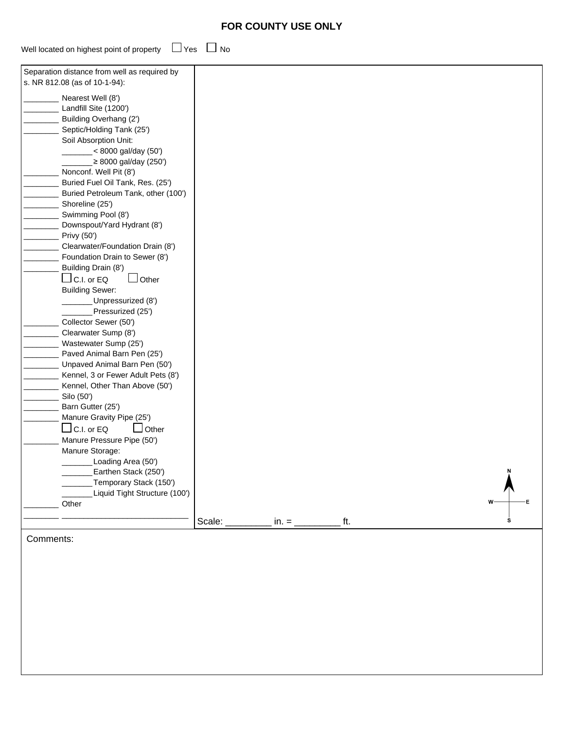# **FOR COUNTY USE ONLY**

| Well located on highest point of property $\Box$ Yes $\Box$ No |  |
|----------------------------------------------------------------|--|

| Separation distance from well as required by |        |            |     |   |
|----------------------------------------------|--------|------------|-----|---|
| s. NR 812.08 (as of 10-1-94):                |        |            |     |   |
|                                              |        |            |     |   |
| Nearest Well (8')<br>Landfill Site (1200')   |        |            |     |   |
| Building Overhang (2')                       |        |            |     |   |
| Septic/Holding Tank (25')                    |        |            |     |   |
| Soil Absorption Unit:                        |        |            |     |   |
| $\frac{1}{2}$ < 8000 gal/day (50')           |        |            |     |   |
| _≥ 8000 gal/day (250')                       |        |            |     |   |
| Nonconf. Well Pit (8')                       |        |            |     |   |
| Buried Fuel Oil Tank, Res. (25')             |        |            |     |   |
| Buried Petroleum Tank, other (100')          |        |            |     |   |
| Shoreline (25')                              |        |            |     |   |
| Swimming Pool (8')                           |        |            |     |   |
| Downspout/Yard Hydrant (8')                  |        |            |     |   |
| Privy (50')                                  |        |            |     |   |
| Clearwater/Foundation Drain (8')             |        |            |     |   |
| Foundation Drain to Sewer (8')               |        |            |     |   |
| Building Drain (8')                          |        |            |     |   |
| $\Box$ C.I. or EQ<br>$\Box$ Other            |        |            |     |   |
| <b>Building Sewer:</b>                       |        |            |     |   |
| Unpressurized (8')                           |        |            |     |   |
| Pressurized (25')                            |        |            |     |   |
| Collector Sewer (50')                        |        |            |     |   |
| Clearwater Sump (8')                         |        |            |     |   |
| Wastewater Sump (25')                        |        |            |     |   |
| Paved Animal Barn Pen (25')                  |        |            |     |   |
| Unpaved Animal Barn Pen (50')                |        |            |     |   |
| Kennel, 3 or Fewer Adult Pets (8')           |        |            |     |   |
| Kennel, Other Than Above (50')               |        |            |     |   |
| Silo (50')                                   |        |            |     |   |
| Barn Gutter (25')                            |        |            |     |   |
| Manure Gravity Pipe (25')                    |        |            |     |   |
| $\Box$ C.I. or EQ<br>$\Box$ Other            |        |            |     |   |
| Manure Pressure Pipe (50')                   |        |            |     |   |
| Manure Storage:                              |        |            |     |   |
| Loading Area (50')                           |        |            |     |   |
| Earthen Stack (250')                         |        |            |     |   |
| Temporary Stack (150')                       |        |            |     |   |
| Liquid Tight Structure (100')<br>Other       |        |            |     | w |
|                                              |        |            |     |   |
|                                              | Scale: | $in. = \_$ | ft. |   |
|                                              |        |            |     |   |

Comments: